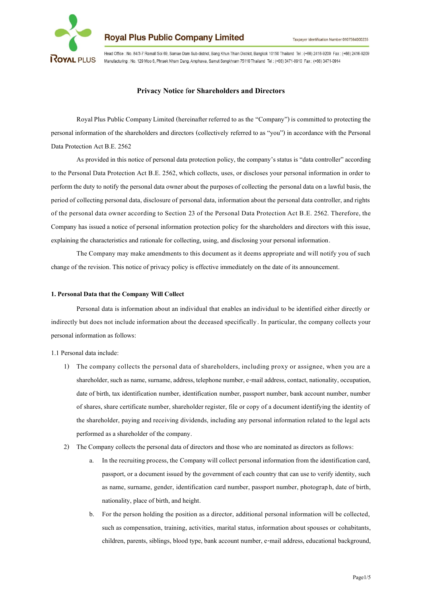

Head Office : No. 84/3-7 Ramall Soi 69, Samae Dam Sub-district, Bang Khun Thian District, Bangkok 10150 Thailand Tel: (+66) 2416-9209 Fax: (+66) 2416-9209 Manufacturing : No. 129 Moo 6, Phraek Nham Dang, Amphawa, Samut Songkhram 75110 Thailand Tel: (+66) 3471-0910 Fax: (+66) 3471-0914

# **Privacy Notice** f**or Shareholders and Directors**

Royal Plus Public Company Limited (hereinafter referred to as the "Company") is committed to protecting the personal information of the shareholders and directors (collectively referred to as "you") in accordance with the Personal Data Protection Act B.E. 2562

As provided in this notice of personal data protection policy, the company's status is "data controller" according to the Personal Data Protection Act B.E. 2562, which collects, uses, or discloses your personal information in order to perform the duty to notify the personal data owner about the purposes of collecting the personal data on a lawful basis, the period of collecting personal data, disclosure of personal data, information about the personal data controller, and rights of the personal data owner according to Section 23 of the Personal Data Protection Act B.E. 2562. Therefore, the Company has issued a notice of personal information protection policy for the shareholders and directors with this issue, explaining the characteristics and rationale for collecting, using, and disclosing your personal information.

The Company may make amendments to this document as it deems appropriate and will notify you of such change of the revision. This notice of privacy policy is effective immediately on the date of its announcement.

#### **1. Personal Data that the Company Will Collect**

Personal data is information about an individual that enables an individual to be identified either directly or indirectly but does not include information about the deceased specifically. In particular, the company collects your personal information as follows:

1.1 Personal data include:

- 1) The company collects the personal data of shareholders, including proxy or assignee, when you are a shareholder, such as name, surname, address, telephone number, e-mail address, contact, nationality, occupation, date of birth, tax identification number, identification number, passport number, bank account number, number of shares, share certificate number, shareholder register, file or copy of a document identifying the identity of the shareholder, paying and receiving dividends, including any personal information related to the legal acts performed as a shareholder of the company.
- 2) The Company collects the personal data of directors and those who are nominated as directors as follows:
	- a. In the recruiting process, the Company will collect personal information from the identification card, passport, or a document issued by the government of each country that can use to verify identity, such as name, surname, gender, identification card number, passport number, photograph, date of birth, nationality, place of birth, and height.
	- b. For the person holding the position as a director, additional personal information will be collected, such as compensation, training, activities, marital status, information about spouses or cohabitants, children, parents, siblings, blood type, bank account number, e-mail address, educational background,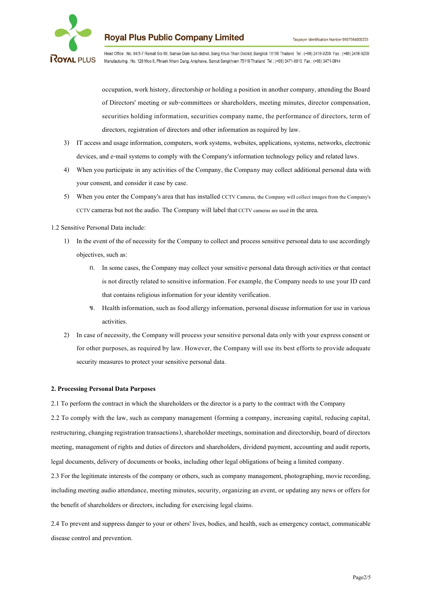

Head Office : No. 84/3-7 Ramall Soi 69, Samae Dam Sub-district, Bang Khun Thian District, Bangkok 10150 Thailand Tel: (+66) 2416-9209 Fax: (+66) 2416-9209 Manufacturing : No. 129 Moo 6, Phraek Nham Dang, Amphawa, Samut Songkhram 75110 Thailand Tel: (+66) 3471-0910 Fax: (+66) 3471-0914

occupation, work history, directorship or holding a position in another company, attending the Board of Directors' meeting or sub-committees or shareholders, meeting minutes, director compensation, securities holding information, securities company name, the performance of directors, term of directors, registration of directors and other information as required by law.

- 3) IT access and usage information, computers, work systems, websites, applications, systems, networks, electronic devices, and e-mail systems to comply with the Company's information technology policy and related laws.
- 4) When you participate in any activities of the Company, the Company may collect additional personal data with your consent, and consider it case by case.
- 5) When you enter the Company's area that has installed CCTV Cameras, the Company will collect images from the Company's CCTV cameras but not the audio. The Company will label that CCTV cameras are used in the area.
- 1.2 Sensitive Personal Data include:
	- 1) In the event of the of necessity for the Company to collect and process sensitive personal data to use accordingly objectives, such as:
		- ก. In some cases, the Company may collect your sensitive personal data through activities or that contact is not directly related to sensitive information. For example, the Company needs to use your ID card that contains religious information for your identity verification.
		- ข. Health information, such as food allergy information, personal disease information for use in various activities.
	- 2) In case of necessity, the Company will process your sensitive personal data only with your express consent or for other purposes, as required by law. However, the Company will use its best efforts to provide adequate security measures to protect your sensitive personal data.

### **2. Processing Personal Data Purposes**

2.1 To perform the contract in which the shareholders or the director is a party to the contract with the Company

2.2 To comply with the law, such as company management (forming a company, increasing capital, reducing capital, restructuring, changing registration transactions), shareholder meetings, nomination and directorship, board of directors meeting, management of rights and duties of directors and shareholders, dividend payment, accounting and audit reports, legal documents, delivery of documents or books, including other legal obligations of being a limited company.

2.3 For the legitimate interests of the company or others, such as company management, photographing, movie recording, including meeting audio attendance, meeting minutes, security, organizing an event, or updating any news or offers for the benefit of shareholders or directors, including for exercising legal claims.

2.4 To prevent and suppress danger to your or others' lives, bodies, and health, such as emergency contact, communicable disease control and prevention.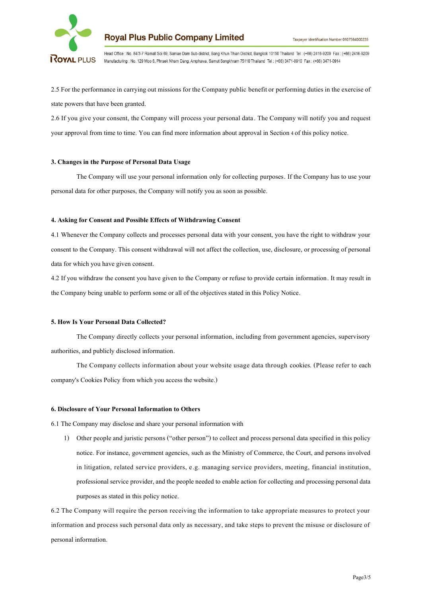

Head Office : No. 84/3-7 Ramall Soi 69, Samae Dam Sub-district, Bang Khun Thian District, Bangkok 10150 Thailand Tel: (+66) 2416-9209 Fax: (+66) 2416-9209 Manufacturing : No. 129 Moo 6, Phraek Nham Dang, Amphawa, Samut Songkhram 75110 Thailand Tel : (+66) 3471-0910 Fax : (+66) 3471-0914

2.5 For the performance in carrying out missions for the Company public benefit or performing duties in the exercise of state powers that have been granted.

2.6 If you give your consent, the Company will process your personal data. The Company will notify you and request your approval from time to time. You can find more information about approval in Section4 of this policy notice.

#### **3. Changes in the Purpose of Personal Data Usage**

The Company will use your personal information only for collecting purposes. If the Company has to use your personal data for other purposes, the Company will notify you as soon as possible.

#### **4. Asking for Consent and Possible Effects of Withdrawing Consent**

4.1 Whenever the Company collects and processes personal data with your consent, you have the right to withdraw your consent to the Company. This consent withdrawal will not affect the collection, use, disclosure, or processing of personal data for which you have given consent.

4.2 If you withdraw the consent you have given to the Company or refuse to provide certain information. It may result in the Company being unable to perform some or all of the objectives stated in this Policy Notice.

### **5. How Is Your Personal Data Collected?**

The Company directly collects your personal information, including from government agencies, supervisory authorities, and publicly disclosed information.

The Company collects information about your website usage data through cookies. (Please refer to each company's Cookies Policy from which you access the website.)

### **6. Disclosure of Your Personal Information to Others**

6.1 The Company may disclose and share your personal information with

1) Other people and juristic persons ("other person") to collect and process personal data specified in this policy notice. For instance, government agencies, such as the Ministry of Commerce, the Court, and persons involved in litigation, related service providers, e.g. managing service providers, meeting, financial institution, professional service provider, and the people needed to enable action for collecting and processing personal data purposes as stated in this policy notice.

6.2 The Company will require the person receiving the information to take appropriate measures to protect your information and process such personal data only as necessary, and take steps to prevent the misuse or disclosure of personal information.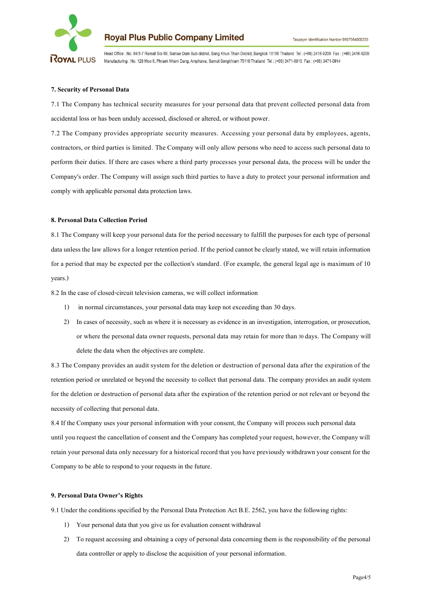

Head Office : No. 84/3-7 Ramall Soi 69, Samae Dam Sub-district, Bang Khun Thian District, Bangkok 10150 Thailand Tel: (+66) 2416-9209 Fax: (+66) 2416-9209 Manufacturing : No. 129 Moo 6, Phraek Nham Dang, Amphawa, Samut Songkhram 75110 Thailand Tel: (+66) 3471-0910 Fax: (+66) 3471-0914

#### **7. Security of Personal Data**

7.1 The Company has technical security measures for your personal data that prevent collected personal data from accidental loss or has been unduly accessed, disclosed or altered, or without power.

7.2 The Company provides appropriate security measures. Accessing your personal data by employees, agents, contractors, or third parties is limited. The Company will only allow persons who need to access such personal data to perform their duties. If there are cases where a third party processes your personal data, the process will be under the Company's order. The Company will assign such third parties to have a duty to protect your personal information and comply with applicable personal data protection laws.

#### **8. Personal Data Collection Period**

8.1 The Company will keep your personal data for the period necessary to fulfill the purposes for each type of personal data unless the law allows for a longer retention period. If the period cannot be clearly stated, we will retain information for a period that may be expected per the collection's standard. (For example, the general legal age is maximum of 10 years.)

8.2 In the case of closed-circuit television cameras, we will collect information

- 1) in normal circumstances, your personal data may keep not exceeding than 30 days.
- 2) In cases of necessity, such as where it is necessary as evidence in an investigation, interrogation, or prosecution, or where the personal data owner requests, personal data may retain for more than30 days. The Company will delete the data when the objectives are complete.

8.3 The Company provides an audit system for the deletion or destruction of personal data after the expiration of the retention period or unrelated or beyond the necessity to collect that personal data. The company provides an audit system for the deletion or destruction of personal data after the expiration of the retention period or not relevant or beyond the necessity of collecting that personal data.

8.4 If the Company uses your personal information with your consent, the Company will process such personal data until you request the cancellation of consent and the Company has completed your request, however, the Company will retain your personal data only necessary for a historical record that you have previously withdrawn your consent for the Company to be able to respond to your requests in the future.

### **9. Personal Data Owner's Rights**

9.1 Under the conditions specified by the Personal Data Protection Act B.E. 2562, you have the following rights:

- 1) Your personal data that you give us for evaluation consent withdrawal
- 2) To request accessing and obtaining a copy of personal data concerning them is the responsibility of the personal data controller or apply to disclose the acquisition of your personal information.